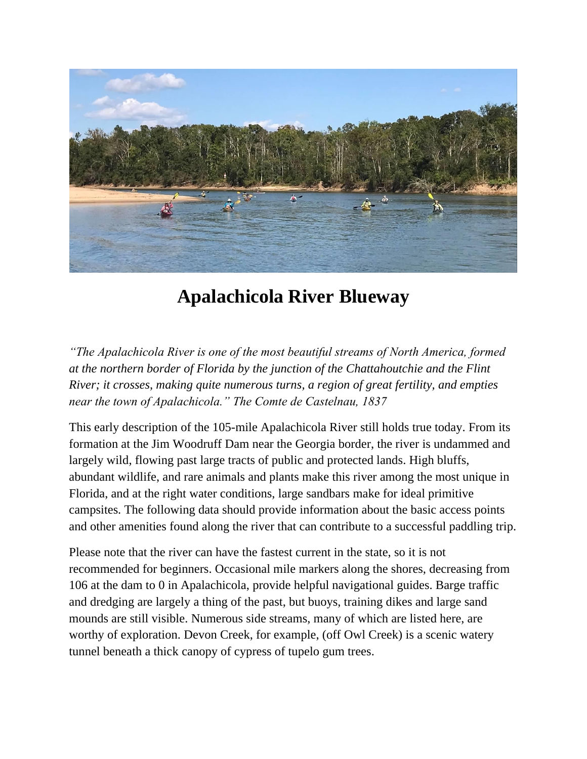

# **Apalachicola River Blueway**

*"The Apalachicola River is one of the most beautiful streams of North America, formed at the northern border of Florida by the junction of the Chattahoutchie and the Flint River; it crosses, making quite numerous turns, a region of great fertility, and empties near the town of Apalachicola." The Comte de Castelnau, 1837*

This early description of the 105-mile Apalachicola River still holds true today. From its formation at the Jim Woodruff Dam near the Georgia border, the river is undammed and largely wild, flowing past large tracts of public and protected lands. High bluffs, abundant wildlife, and rare animals and plants make this river among the most unique in Florida, and at the right water conditions, large sandbars make for ideal primitive campsites. The following data should provide information about the basic access points and other amenities found along the river that can contribute to a successful paddling trip.

Please note that the river can have the fastest current in the state, so it is not recommended for beginners. Occasional mile markers along the shores, decreasing from 106 at the dam to 0 in Apalachicola, provide helpful navigational guides. Barge traffic and dredging are largely a thing of the past, but buoys, training dikes and large sand mounds are still visible. Numerous side streams, many of which are listed here, are worthy of exploration. Devon Creek, for example, (off Owl Creek) is a scenic watery tunnel beneath a thick canopy of cypress of tupelo gum trees.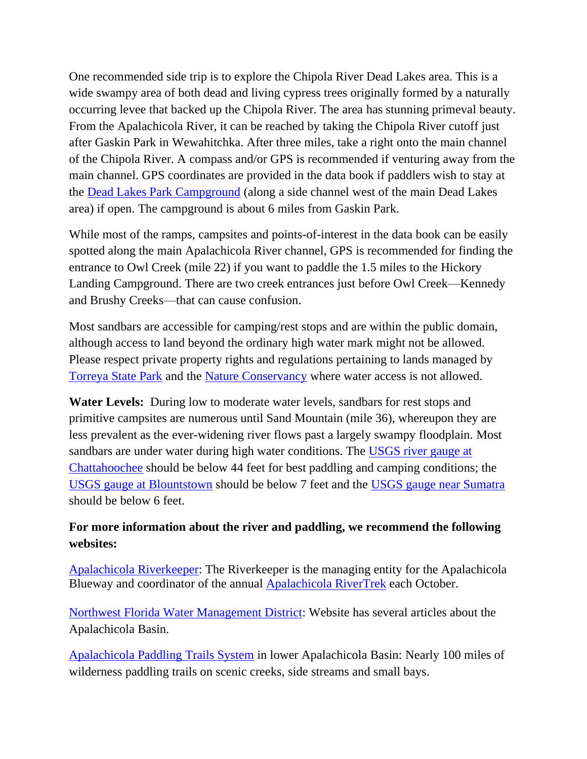One recommended side trip is to explore the Chipola River Dead Lakes area. This is a wide swampy area of both dead and living cypress trees originally formed by a naturally occurring levee that backed up the Chipola River. The area has stunning primeval beauty. From the Apalachicola River, it can be reached by taking the Chipola River cutoff just after Gaskin Park in Wewahitchka. After three miles, take a right onto the main channel of the Chipola River. A compass and/or GPS is recommended if venturing away from the main channel. GPS coordinates are provided in the data book if paddlers wish to stay at the [Dead Lakes Park](https://www.visitgulf.com/local-listing/dead-lakes-park-rv-campground/) Campground (along a side channel west of the main Dead Lakes area) if open. The campground is about 6 miles from Gaskin Park.

While most of the ramps, campsites and points-of-interest in the data book can be easily spotted along the main Apalachicola River channel, GPS is recommended for finding the entrance to Owl Creek (mile 22) if you want to paddle the 1.5 miles to the Hickory Landing Campground. There are two creek entrances just before Owl Creek—Kennedy and Brushy Creeks—that can cause confusion.

Most sandbars are accessible for camping/rest stops and are within the public domain, although access to land beyond the ordinary high water mark might not be allowed. Please respect private property rights and regulations pertaining to lands managed by [Torreya State Park](https://www.floridastateparks.org/parks-and-trails/torreya-state-park) and the [Nature Conservancy](https://www.nature.org/en-us/get-involved/how-to-help/places-we-protect/apalachicola-bluffs-and-ravines-preserve/) where water access is not allowed.

**Water Levels:** During low to moderate water levels, sandbars for rest stops and primitive campsites are numerous until Sand Mountain (mile 36), whereupon they are less prevalent as the ever-widening river flows past a largely swampy floodplain. Most sandbars are under water during high water conditions. The USGS river gauge at [Chattahoochee](https://waterdata.usgs.gov/fl/nwis/uv?site_no=02358000) should be below 44 feet for best paddling and camping conditions; the [USGS gauge at Blountstown](https://waterdata.usgs.gov/nwis/uv?site_no=02358700) should be below 7 feet and the [USGS gauge near Sumatra](https://waterdata.usgs.gov/nwis/uv?02359170) should be below 6 feet.

## **For more information about the river and paddling, we recommend the following websites:**

[Apalachicola Riverkeeper:](http://apalachicolariverkeeper.org/) The Riverkeeper is the managing entity for the Apalachicola Blueway and coordinator of the annual [Apalachicola RiverTrek](http://apalachicolariverkeeper.org/rivertrek/) each October.

[Northwest Florida Water Management District:](https://www.nwfwater.com/) Website has several articles about the Apalachicola Basin.

[Apalachicola Paddling Trails System](https://myfwc.com/recreation/lead/apalachicola-river/paddling/) in lower Apalachicola Basin: Nearly 100 miles of wilderness paddling trails on scenic creeks, side streams and small bays.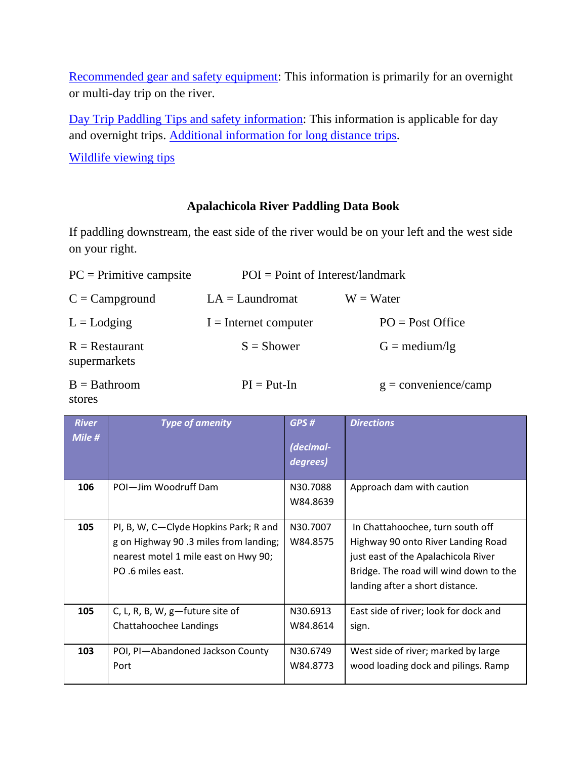[Recommended gear and safety equipment:](https://floridadep.gov/sites/default/files/Recommended%20Gear%20and%20Safety%20Equipment%20for%20Extended%20Trips_1.pdf) This information is primarily for an overnight or multi-day trip on the river.

[Day Trip Paddling Tips and safety information:](https://floridadep.gov/sites/default/files/Day%20Trip%20Paddling%20Tips%20and%20Safety%20recommendations.pdf) This information is applicable for day and overnight trips. Additional [information for long distance trips.](https://floridadep.gov/sites/default/files/Long%20Distance%20Paddling%20Recommendations_1.pdf)

[Wildlife viewing tips](https://myfwc.com/viewing/how/) 

### **Apalachicola River Paddling Data Book**

If paddling downstream, the east side of the river would be on your left and the west side on your right.

| $PC = Primitive \text{ composite}$ | $POI = Point of Interest/landmark$ |                               |
|------------------------------------|------------------------------------|-------------------------------|
| $C =$ Campground                   | $LA = Laundromat$                  | $W = Water$                   |
| $L =$ Lodging                      | $I =$ Internet computer            | $PO = Post Office$            |
| $R =$ Restaurant<br>supermarkets   | $S =$ Shower                       | $G = \text{medium}/\text{lg}$ |
| $B =$ Bathroom                     | $PI = Put-In$                      | $g =$ convenience/camp        |

stores

| <b>River</b><br>Mile # | <b>Type of amenity</b>                                                                                                                      | GPS#<br>(decimal-<br>degrees) | <b>Directions</b>                                                                                                                                                                          |
|------------------------|---------------------------------------------------------------------------------------------------------------------------------------------|-------------------------------|--------------------------------------------------------------------------------------------------------------------------------------------------------------------------------------------|
| 106                    | POI-Jim Woodruff Dam                                                                                                                        | N30.7088<br>W84.8639          | Approach dam with caution                                                                                                                                                                  |
| 105                    | PI, B, W, C-Clyde Hopkins Park; R and<br>g on Highway 90.3 miles from landing;<br>nearest motel 1 mile east on Hwy 90;<br>PO .6 miles east. | N30.7007<br>W84.8575          | In Chattahoochee, turn south off<br>Highway 90 onto River Landing Road<br>just east of the Apalachicola River<br>Bridge. The road will wind down to the<br>landing after a short distance. |
| 105                    | C, L, R, B, W, $g$ —future site of<br>Chattahoochee Landings                                                                                | N30.6913<br>W84.8614          | East side of river; look for dock and<br>sign.                                                                                                                                             |
| 103                    | POI, PI-Abandoned Jackson County<br>Port                                                                                                    | N30.6749<br>W84.8773          | West side of river; marked by large<br>wood loading dock and pilings. Ramp                                                                                                                 |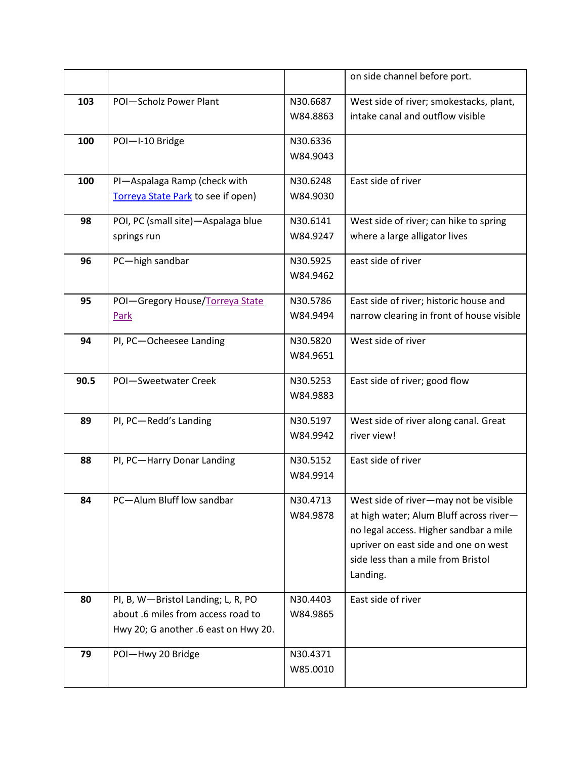|      |                                      |          | on side channel before port.              |
|------|--------------------------------------|----------|-------------------------------------------|
| 103  | POI-Scholz Power Plant               | N30.6687 | West side of river; smokestacks, plant,   |
|      |                                      | W84.8863 | intake canal and outflow visible          |
| 100  | POI-I-10 Bridge                      | N30.6336 |                                           |
|      |                                      | W84.9043 |                                           |
| 100  | PI-Aspalaga Ramp (check with         | N30.6248 | East side of river                        |
|      | Torreya State Park to see if open)   | W84.9030 |                                           |
| 98   | POI, PC (small site)-Aspalaga blue   | N30.6141 | West side of river; can hike to spring    |
|      | springs run                          | W84.9247 | where a large alligator lives             |
| 96   | PC-high sandbar                      | N30.5925 | east side of river                        |
|      |                                      | W84.9462 |                                           |
| 95   | POI-Gregory House/Torreya State      | N30.5786 | East side of river; historic house and    |
|      | Park                                 | W84.9494 | narrow clearing in front of house visible |
|      |                                      |          |                                           |
| 94   | PI, PC-Ocheesee Landing              | N30.5820 | West side of river                        |
|      |                                      | W84.9651 |                                           |
| 90.5 | POI-Sweetwater Creek                 | N30.5253 | East side of river; good flow             |
|      |                                      | W84.9883 |                                           |
| 89   | PI, PC-Redd's Landing                | N30.5197 | West side of river along canal. Great     |
|      |                                      | W84.9942 | river view!                               |
|      |                                      |          |                                           |
| 88   | PI, PC-Harry Donar Landing           | N30.5152 | East side of river                        |
|      |                                      | W84.9914 |                                           |
| 84   | PC-Alum Bluff low sandbar            | N30.4713 | West side of river-may not be visible     |
|      |                                      | W84.9878 | at high water; Alum Bluff across river-   |
|      |                                      |          | no legal access. Higher sandbar a mile    |
|      |                                      |          | upriver on east side and one on west      |
|      |                                      |          | side less than a mile from Bristol        |
|      |                                      |          | Landing.                                  |
| 80   | PI, B, W-Bristol Landing; L, R, PO   | N30.4403 | East side of river                        |
|      | about .6 miles from access road to   | W84.9865 |                                           |
|      | Hwy 20; G another .6 east on Hwy 20. |          |                                           |
| 79   | POI-Hwy 20 Bridge                    | N30.4371 |                                           |
|      |                                      | W85.0010 |                                           |
|      |                                      |          |                                           |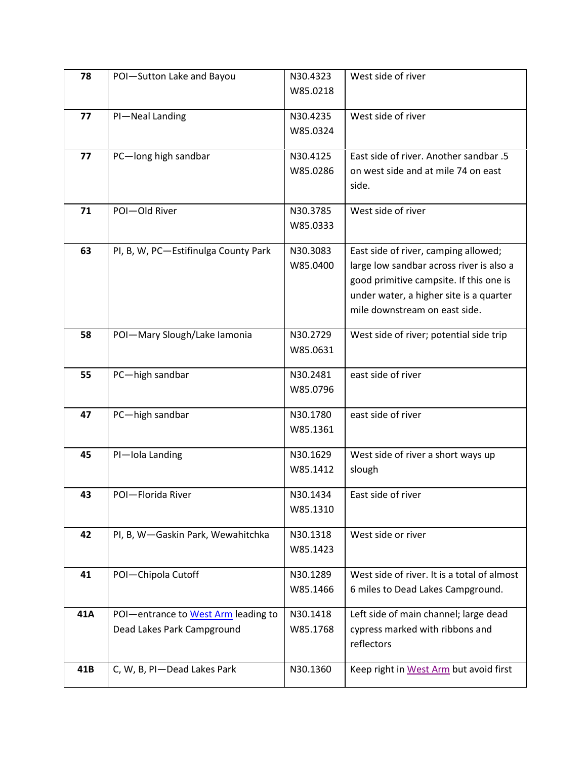| 78  | POI-Sutton Lake and Bayou            | N30.4323 | West side of river                          |
|-----|--------------------------------------|----------|---------------------------------------------|
|     |                                      | W85.0218 |                                             |
|     |                                      |          |                                             |
| 77  | PI-Neal Landing                      | N30.4235 | West side of river                          |
|     |                                      | W85.0324 |                                             |
| 77  | PC-long high sandbar                 | N30.4125 | East side of river. Another sandbar .5      |
|     |                                      | W85.0286 | on west side and at mile 74 on east         |
|     |                                      |          | side.                                       |
|     |                                      |          |                                             |
| 71  | POI-Old River                        | N30.3785 | West side of river                          |
|     |                                      | W85.0333 |                                             |
|     |                                      |          |                                             |
| 63  | PI, B, W, PC-Estifinulga County Park | N30.3083 | East side of river, camping allowed;        |
|     |                                      | W85.0400 | large low sandbar across river is also a    |
|     |                                      |          | good primitive campsite. If this one is     |
|     |                                      |          | under water, a higher site is a quarter     |
|     |                                      |          | mile downstream on east side.               |
| 58  | POI-Mary Slough/Lake Iamonia         | N30.2729 | West side of river; potential side trip     |
|     |                                      | W85.0631 |                                             |
|     |                                      |          |                                             |
| 55  | PC-high sandbar                      | N30.2481 | east side of river                          |
|     |                                      | W85.0796 |                                             |
| 47  | PC-high sandbar                      | N30.1780 | east side of river                          |
|     |                                      | W85.1361 |                                             |
|     |                                      |          |                                             |
| 45  | PI-Iola Landing                      | N30.1629 | West side of river a short ways up          |
|     |                                      | W85.1412 | slough                                      |
|     |                                      |          |                                             |
| 43  | POI-Florida River                    | N30.1434 | East side of river                          |
|     |                                      | W85.1310 |                                             |
| 42  | PI, B, W-Gaskin Park, Wewahitchka    | N30.1318 | West side or river                          |
|     |                                      | W85.1423 |                                             |
|     |                                      |          |                                             |
| 41  | POI-Chipola Cutoff                   | N30.1289 | West side of river. It is a total of almost |
|     |                                      | W85.1466 | 6 miles to Dead Lakes Campground.           |
| 41A | POI-entrance to West Arm leading to  | N30.1418 | Left side of main channel; large dead       |
|     | Dead Lakes Park Campground           | W85.1768 | cypress marked with ribbons and             |
|     |                                      |          | reflectors                                  |
|     |                                      |          |                                             |
| 41B | C, W, B, PI-Dead Lakes Park          | N30.1360 | Keep right in West Arm but avoid first      |
|     |                                      |          |                                             |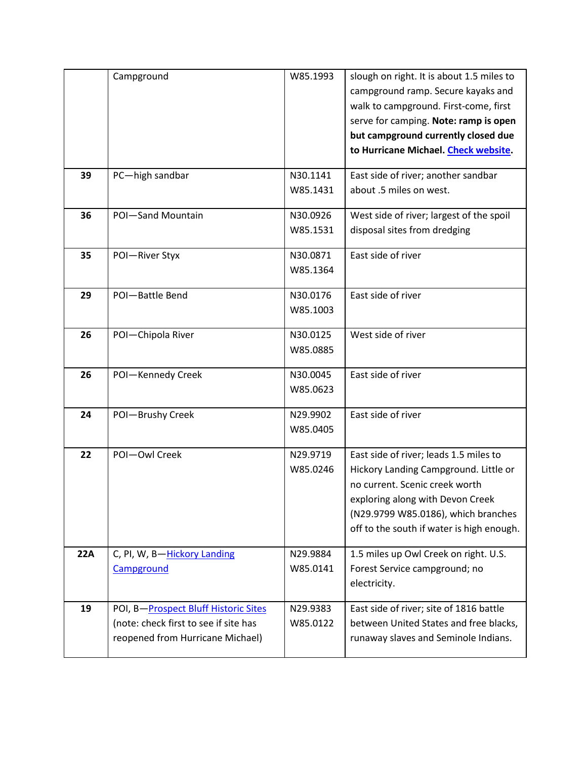|     | Campground                            | W85.1993 | slough on right. It is about 1.5 miles to |
|-----|---------------------------------------|----------|-------------------------------------------|
|     |                                       |          | campground ramp. Secure kayaks and        |
|     |                                       |          | walk to campground. First-come, first     |
|     |                                       |          | serve for camping. Note: ramp is open     |
|     |                                       |          | but campground currently closed due       |
|     |                                       |          | to Hurricane Michael. Check website.      |
| 39  | PC-high sandbar                       | N30.1141 | East side of river; another sandbar       |
|     |                                       | W85.1431 | about .5 miles on west.                   |
| 36  | POI-Sand Mountain                     | N30.0926 | West side of river; largest of the spoil  |
|     |                                       | W85.1531 | disposal sites from dredging              |
| 35  | POI-River Styx                        | N30.0871 | East side of river                        |
|     |                                       | W85.1364 |                                           |
| 29  | POI-Battle Bend                       | N30.0176 | East side of river                        |
|     |                                       | W85.1003 |                                           |
| 26  | POI-Chipola River                     | N30.0125 | West side of river                        |
|     |                                       | W85.0885 |                                           |
| 26  | POI-Kennedy Creek                     | N30.0045 | East side of river                        |
|     |                                       | W85.0623 |                                           |
|     |                                       |          |                                           |
| 24  | POI-Brushy Creek                      | N29.9902 | East side of river                        |
|     |                                       | W85.0405 |                                           |
| 22  | POI-Owl Creek                         | N29.9719 | East side of river; leads 1.5 miles to    |
|     |                                       | W85.0246 | Hickory Landing Campground. Little or     |
|     |                                       |          | no current. Scenic creek worth            |
|     |                                       |          | exploring along with Devon Creek          |
|     |                                       |          | (N29.9799 W85.0186), which branches       |
|     |                                       |          | off to the south if water is high enough. |
| 22A | C, PI, W, B-Hickory Landing           | N29.9884 | 1.5 miles up Owl Creek on right. U.S.     |
|     | Campground                            | W85.0141 | Forest Service campground; no             |
|     |                                       |          | electricity.                              |
| 19  | POI, B-Prospect Bluff Historic Sites  | N29.9383 | East side of river; site of 1816 battle   |
|     | (note: check first to see if site has | W85.0122 | between United States and free blacks,    |
|     | reopened from Hurricane Michael)      |          | runaway slaves and Seminole Indians.      |
|     |                                       |          |                                           |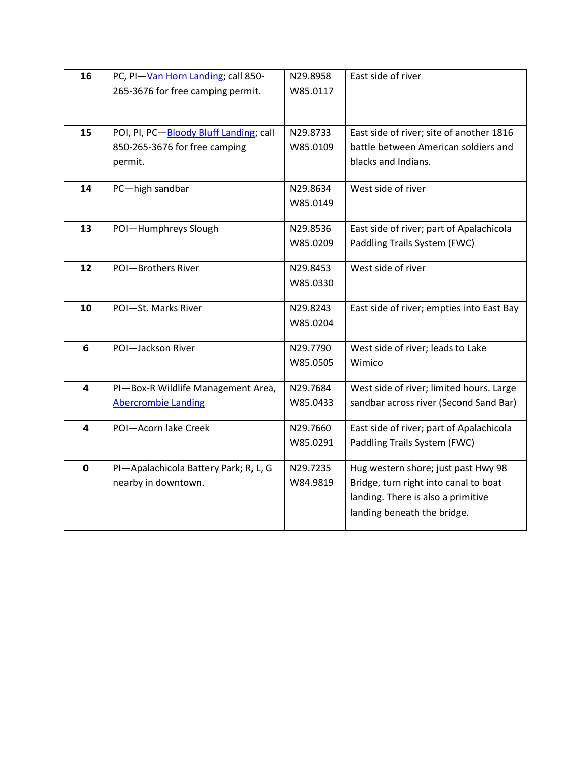| 265-3676 for free camping permit.<br>W85.0117                                                           |  |
|---------------------------------------------------------------------------------------------------------|--|
|                                                                                                         |  |
|                                                                                                         |  |
|                                                                                                         |  |
| POI, PI, PC-Bloody Bluff Landing; call<br>N29.8733<br>East side of river; site of another 1816<br>15    |  |
| 850-265-3676 for free camping<br>battle between American soldiers and<br>W85.0109                       |  |
| blacks and Indians.<br>permit.                                                                          |  |
|                                                                                                         |  |
| West side of river<br>14<br>PC-high sandbar<br>N29.8634                                                 |  |
| W85.0149                                                                                                |  |
| East side of river; part of Apalachicola<br>13<br>POI-Humphreys Slough<br>N29.8536                      |  |
| Paddling Trails System (FWC)<br>W85.0209                                                                |  |
|                                                                                                         |  |
| West side of river<br>POI-Brothers River<br>12<br>N29.8453                                              |  |
| W85.0330                                                                                                |  |
|                                                                                                         |  |
| 10<br>POI-St. Marks River<br>East side of river; empties into East Bay<br>N29.8243                      |  |
| W85.0204                                                                                                |  |
| POI-Jackson River<br>6<br>N29.7790                                                                      |  |
| West side of river; leads to Lake<br>W85.0505<br>Wimico                                                 |  |
|                                                                                                         |  |
| West side of river; limited hours. Large<br>PI-Box-R Wildlife Management Area,<br>N29.7684<br>4         |  |
| sandbar across river (Second Sand Bar)<br><b>Abercrombie Landing</b><br>W85.0433                        |  |
|                                                                                                         |  |
| East side of river; part of Apalachicola<br>POI-Acorn lake Creek<br>N29.7660<br>4                       |  |
| W85.0291<br>Paddling Trails System (FWC)                                                                |  |
| PI-Apalachicola Battery Park; R, L, G<br>Hug western shore; just past Hwy 98<br>$\mathbf 0$<br>N29.7235 |  |
| nearby in downtown.<br>W84.9819<br>Bridge, turn right into canal to boat                                |  |
| landing. There is also a primitive                                                                      |  |
|                                                                                                         |  |
| landing beneath the bridge.                                                                             |  |